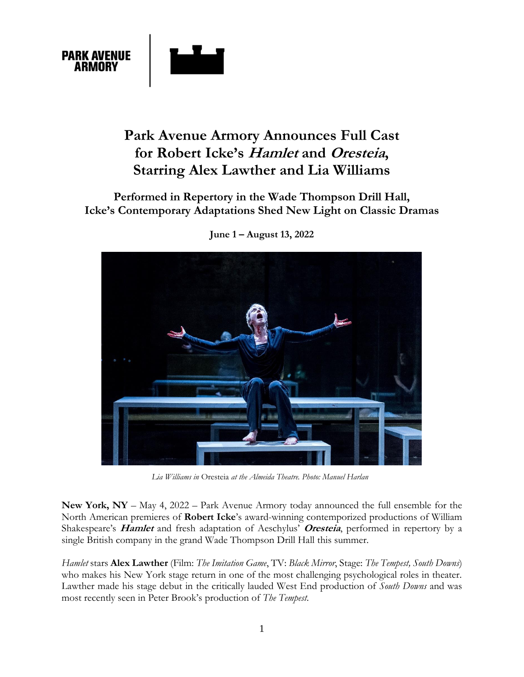

# **Park Avenue Armory Announces Full Cast for Robert Icke's Hamlet and Oresteia, Starring Alex Lawther and Lia Williams**

# **Performed in Repertory in the Wade Thompson Drill Hall, Icke's Contemporary Adaptations Shed New Light on Classic Dramas**



**June 1 – August 13, 2022**

*Lia Williams in* Oresteia *at the Almeida Theatre. Photo: Manuel Harlan*

**New York, NY** – May 4, 2022 – Park Avenue Armory today announced the full ensemble for the North American premieres of **Robert Icke**'s award-winning contemporized productions of William Shakespeare's **Hamlet** and fresh adaptation of Aeschylus' **Oresteia**, performed in repertory by a single British company in the grand Wade Thompson Drill Hall this summer.

*Hamlet* stars **Alex Lawther** (Film: *The Imitation Game*, TV: *Black Mirror*, Stage: *The Tempest, South Downs*) who makes his New York stage return in one of the most challenging psychological roles in theater. Lawther made his stage debut in the critically lauded West End production of *South Downs* and was most recently seen in Peter Brook's production of *The Tempest*.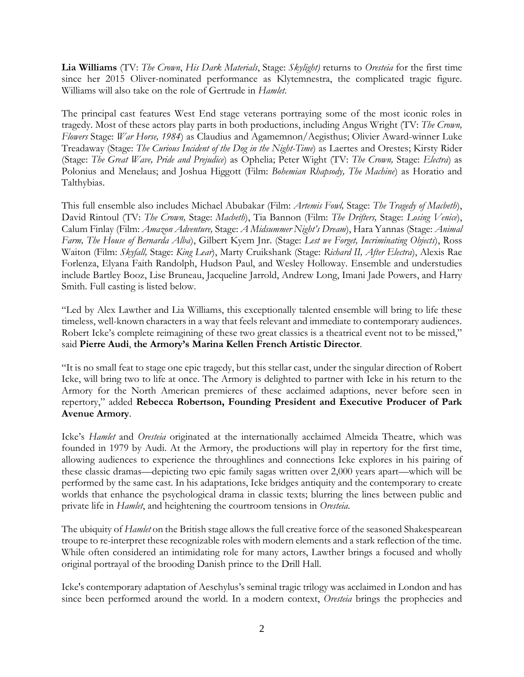**Lia Williams** (TV: *The Crown*, *His Dark Materials*, Stage: *Skylight)* returns to *Oresteia* for the first time since her 2015 Oliver-nominated performance as Klytemnestra, the complicated tragic figure. Williams will also take on the role of Gertrude in *Hamlet*.

The principal cast features West End stage veterans portraying some of the most iconic roles in tragedy. Most of these actors play parts in both productions, including Angus Wright (TV: *The Crown, Flowers* Stage: *War Horse, 1984*) as Claudius and Agamemnon/Aegisthus; Olivier Award-winner Luke Treadaway (Stage: *The Curious Incident of the Dog in the Night-Time*) as Laertes and Orestes; Kirsty Rider (Stage: *The Great Wave, Pride and Prejudice*) as Ophelia; Peter Wight (TV: *The Crown,* Stage: *Electra*) as Polonius and Menelaus; and Joshua Higgott (Film: *Bohemian Rhapsody, The Machine*) as Horatio and Talthybias.

This full ensemble also includes Michael Abubakar (Film: *Artemis Fowl,* Stage: *The Tragedy of Macbeth*), David Rintoul (TV: *The Crown,* Stage: *Macbeth*), Tia Bannon (Film: *The Drifters,* Stage: *Losing Venice*), Calum Finlay (Film: *Amazon Adventure,* Stage: *A Midsummer Night's Dream*), Hara Yannas (Stage: *Animal Farm, The House of Bernarda Alba*), Gilbert Kyem Jnr. (Stage: *Lest we Forget, Incriminating Objects*), Ross Waiton (Film: *Skyfall,* Stage: *King Lear*), Marty Cruikshank (Stage: *Richard II, After Electra*), Alexis Rae Forlenza, Elyana Faith Randolph, Hudson Paul, and Wesley Holloway. Ensemble and understudies include Bartley Booz, Lise Bruneau, Jacqueline Jarrold, Andrew Long, Imani Jade Powers, and Harry Smith. Full casting is listed below.

"Led by Alex Lawther and Lia Williams, this exceptionally talented ensemble will bring to life these timeless, well-known characters in a way that feels relevant and immediate to contemporary audiences. Robert Icke's complete reimagining of these two great classics is a theatrical event not to be missed," said **Pierre Audi**, **the Armory's Marina Kellen French Artistic Director**.

"It is no small feat to stage one epic tragedy, but this stellar cast, under the singular direction of Robert Icke, will bring two to life at once. The Armory is delighted to partner with Icke in his return to the Armory for the North American premieres of these acclaimed adaptions, never before seen in repertory," added **Rebecca Robertson, Founding President and Executive Producer of Park Avenue Armory**.

Icke's *Hamlet* and *Oresteia* originated at the internationally acclaimed Almeida Theatre, which was founded in 1979 by Audi. At the Armory, the productions will play in repertory for the first time, allowing audiences to experience the throughlines and connections Icke explores in his pairing of these classic dramas—depicting two epic family sagas written over 2,000 years apart—which will be performed by the same cast. In his adaptations, Icke bridges antiquity and the contemporary to create worlds that enhance the psychological drama in classic texts; blurring the lines between public and private life in *Hamlet*, and heightening the courtroom tensions in *Oresteia*.

The ubiquity of *Hamlet* on the British stage allows the full creative force of the seasoned Shakespearean troupe to re-interpret these recognizable roles with modern elements and a stark reflection of the time. While often considered an intimidating role for many actors, Lawther brings a focused and wholly original portrayal of the brooding Danish prince to the Drill Hall.

Icke's contemporary adaptation of Aeschylus's seminal tragic trilogy was acclaimed in London and has since been performed around the world. In a modern context, *Oresteia* brings the prophecies and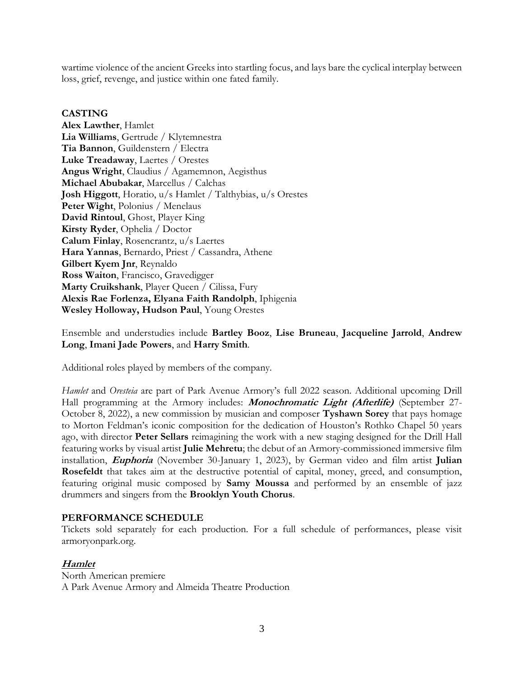wartime violence of the ancient Greeks into startling focus, and lays bare the cyclical interplay between loss, grief, revenge, and justice within one fated family.

#### **CASTING**

**Alex Lawther**, Hamlet **Lia Williams**, Gertrude / Klytemnestra **Tia Bannon**, Guildenstern / Electra **Luke Treadaway**, Laertes / Orestes **Angus Wright**, Claudius / Agamemnon, Aegisthus **Michael Abubakar**, Marcellus / Calchas **Josh Higgott**, Horatio, u/s Hamlet / Talthybias, u/s Orestes **Peter Wight**, Polonius / Menelaus **David Rintoul**, Ghost, Player King **Kirsty Ryder**, Ophelia / Doctor **Calum Finlay**, Rosencrantz, u/s Laertes **Hara Yannas**, Bernardo, Priest / Cassandra, Athene **Gilbert Kyem Jnr**, Reynaldo **Ross Waiton**, Francisco, Gravedigger Marty Cruikshank, Player Queen / Cilissa, Fury **Alexis Rae Forlenza, Elyana Faith Randolph**, Iphigenia **Wesley Holloway, Hudson Paul**, Young Orestes

Ensemble and understudies include **Bartley Booz**, **Lise Bruneau**, **Jacqueline Jarrold**, **Andrew Long**, **Imani Jade Powers**, and **Harry Smith**.

Additional roles played by members of the company.

*Hamlet* and *Oresteia* are part of Park Avenue Armory's full 2022 season. Additional upcoming Drill Hall programming at the Armory includes: **Monochromatic Light (Afterlife)** (September 27- October 8, 2022), a new commission by musician and composer **Tyshawn Sorey** that pays homage to Morton Feldman's iconic composition for the dedication of Houston's Rothko Chapel 50 years ago, with director **Peter Sellars** reimagining the work with a new staging designed for the Drill Hall featuring works by visual artist **Julie Mehretu**; the debut of an Armory-commissioned immersive film installation, **Euphoria** (November 30-January 1, 2023), by German video and film artist **Julian Rosefeldt** that takes aim at the destructive potential of capital, money, greed, and consumption, featuring original music composed by **Samy Moussa** and performed by an ensemble of jazz drummers and singers from the **Brooklyn Youth Chorus**.

#### **PERFORMANCE SCHEDULE**

Tickets sold separately for each production. For a full schedule of performances, please visit [armoryonpark.org.](http://armoryonpark.org/)

## **Hamlet**

North American premiere A Park Avenue Armory and Almeida Theatre Production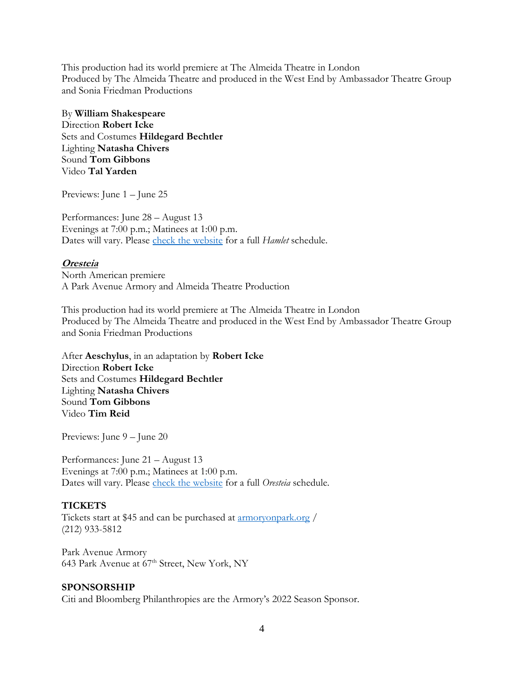This production had its world premiere at The Almeida Theatre in London Produced by The Almeida Theatre and produced in the West End by Ambassador Theatre Group and Sonia Friedman Productions

By **William Shakespeare** Direction **Robert Icke** Sets and Costumes **Hildegard Bechtler** Lighting **Natasha Chivers** Sound **Tom Gibbons** Video **Tal Yarden**

Previews: June 1 – June 25

Performances: June 28 – August 13 Evenings at 7:00 p.m.; Matinees at 1:00 p.m. Dates will vary. Please [check the website](http://armoryonpark.org/programs_events/detail/hamlet) for a full *Hamlet* schedule.

#### **Oresteia**

North American premiere A Park Avenue Armory and Almeida Theatre Production

This production had its world premiere at The Almeida Theatre in London Produced by The Almeida Theatre and produced in the West End by Ambassador Theatre Group and Sonia Friedman Productions

After **Aeschylus**, in an adaptation by **Robert Icke** Direction **Robert Icke** Sets and Costumes **Hildegard Bechtler** Lighting **Natasha Chivers** Sound **Tom Gibbons** Video **Tim Reid**

Previews: June 9 – June 20

Performances: June 21 – August 13 Evenings at 7:00 p.m.; Matinees at 1:00 p.m. Dates will vary. Please [check the website](http://armoryonpark.org/programs_events/detail/oresteia) for a full *Oresteia* schedule.

## **TICKETS**

Tickets start at \$45 and can be purchased at [armoryonpark.org](http://armoryonpark.org/) / (212) 933-5812

Park Avenue Armory 643 Park Avenue at 67<sup>th</sup> Street, New York, NY

#### **SPONSORSHIP**

Citi and Bloomberg Philanthropies are the Armory's 2022 Season Sponsor.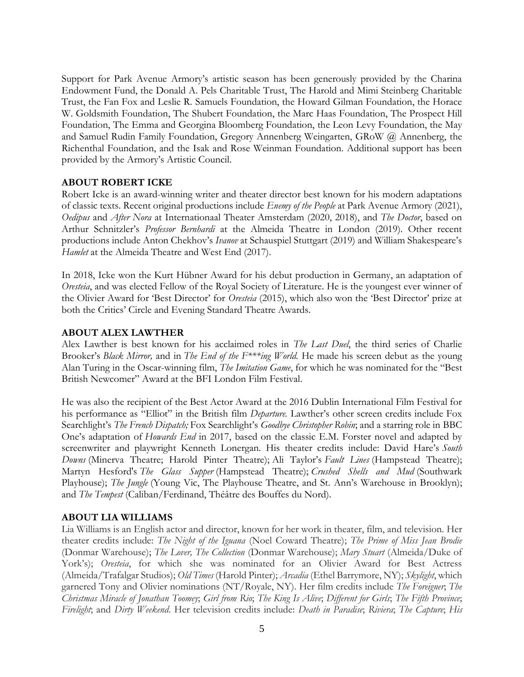Support for Park Avenue Armory's artistic season has been generously provided by the Charina Endowment Fund, the Donald A. Pels Charitable Trust, The Harold and Mimi Steinberg Charitable Trust, the Fan Fox and Leslie R. Samuels Foundation, the Howard Gilman Foundation, the Horace W. Goldsmith Foundation, The Shubert Foundation, the Marc Haas Foundation, The Prospect Hill Foundation, The Emma and Georgina Bloomberg Foundation, the Leon Levy Foundation, the May and Samuel Rudin Family Foundation, Gregory Annenberg Weingarten, GRoW @ Annenberg, the Richenthal Foundation, and the Isak and Rose Weinman Foundation. Additional support has been provided by the Armory's Artistic Council.

## **ABOUT ROBERT ICKE**

Robert Icke is an award-winning writer and theater director best known for his modern adaptations of classic texts. Recent original productions include *Enemy of the People* at Park Avenue Armory (2021), *Oedipus* and *After Nora* at Internationaal Theater Amsterdam (2020, 2018), and *The Doctor*, based on Arthur Schnitzler's *Professor Bernhardi* at the Almeida Theatre in London (2019). Other recent productions include Anton Chekhov's *Ivanov* at Schauspiel Stuttgart (2019) and William Shakespeare's *Hamlet* at the Almeida Theatre and West End (2017).

In 2018, Icke won the Kurt Hübner Award for his debut production in Germany, an adaptation of *Oresteia*, and was elected Fellow of the Royal Society of Literature. He is the youngest ever winner of the Olivier Award for 'Best Director' for *Oresteia* (2015), which also won the 'Best Director' prize at both the Critics' Circle and Evening Standard Theatre Awards.

#### **ABOUT ALEX LAWTHER**

Alex Lawther is best known for his acclaimed roles in *The Last Duel*, the third series of Charlie Brooker's *Black Mirror,* and in *The End of the F\*\*\*ing World.* He made his screen debut as the young Alan Turing in the Oscar-winning film, *The Imitation Game*, for which he was nominated for the "Best British Newcomer" Award at the BFI London Film Festival.

He was also the recipient of the Best Actor Award at the 2016 Dublin International Film Festival for his performance as "Elliot" in the British film *Departure.* Lawther's other screen credits include Fox Searchlight's *The French Dispatch;* Fox Searchlight's *Goodbye Christopher Robin*; and a starring role in BBC One's adaptation of *Howards End* in 2017, based on the classic E.M. Forster novel and adapted by screenwriter and playwright Kenneth Lonergan. His theater credits include: David Hare's *South Downs* (Minerva Theatre; Harold Pinter Theatre); Ali Taylor's *Fault Lines* (Hampstead Theatre); Martyn Hesford's *The Glass Supper* (Hampstead Theatre); *Crushed Shells and Mud* (Southwark Playhouse); *The Jungle* (Young Vic, The Playhouse Theatre, and St. Ann's Warehouse in Brooklyn); and *The Tempest* (Caliban/Ferdinand, Théâtre des Bouffes du Nord).

## **ABOUT LIA WILLIAMS**

Lia Williams is an English actor and director, known for her work in theater, film, and television. Her theater credits include: *The Night of the Iguana* (Noel Coward Theatre); *The Prime of Miss Jean Brodie* (Donmar Warehouse); *The Lover, The Collection* (Donmar Warehouse); *Mary Stuart* (Almeida/Duke of York's); *Oresteia*, for which she was nominated for an Olivier Award for Best Actress (Almeida/Trafalgar Studios); *Old Times* (Harold Pinter); *Arcadia* (Ethel Barrymore, NY); *Skylight*, which garnered Tony and Olivier nominations (NT/Royale, NY). Her film credits include *The Foreigner*; *The Christmas Miracle of Jonathan Toomey*; *Girl from Rio*; *The King Is Alive*; *Different for Girls*; *The Fifth Province*; *Firelight*; and *Dirty Weekend*. Her television credits include: *Death in Paradise*; *Riviera*; *The Capture*; *His*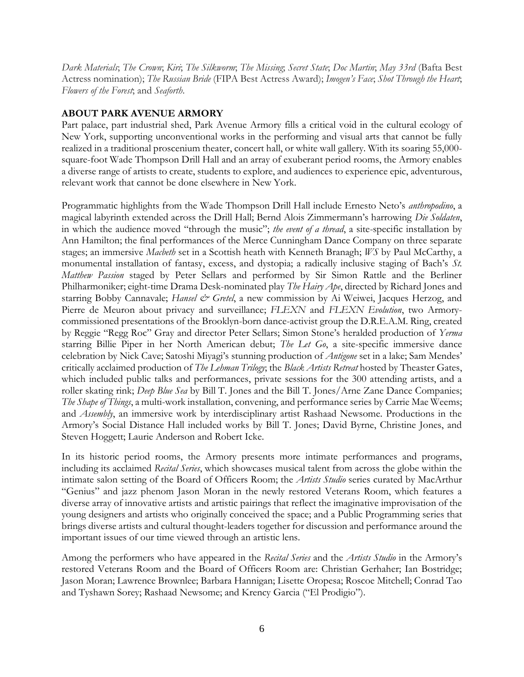*Dark Materials*; *The Crown*; *Kiri*; *The Silkworm*; *The Missing*; *Secret State*; *Doc Martin*; *May 33rd* (Bafta Best Actress nomination); *The Russian Bride* (FIPA Best Actress Award); *Imogen's Face*; *Shot Through the Heart*; *Flowers of the Forest*; and *Seaforth*.

# **ABOUT PARK AVENUE ARMORY**

Part palace, part industrial shed, Park Avenue Armory fills a critical void in the cultural ecology of New York, supporting unconventional works in the performing and visual arts that cannot be fully realized in a traditional proscenium theater, concert hall, or white wall gallery. With its soaring 55,000 square-foot Wade Thompson Drill Hall and an array of exuberant period rooms, the Armory enables a diverse range of artists to create, students to explore, and audiences to experience epic, adventurous, relevant work that cannot be done elsewhere in New York.

Programmatic highlights from the Wade Thompson Drill Hall include Ernesto Neto's *anthropodino*, a magical labyrinth extended across the Drill Hall; Bernd Alois Zimmermann's harrowing *Die Soldaten*, in which the audience moved "through the music"; *the event of a thread*, a site-specific installation by Ann Hamilton; the final performances of the Merce Cunningham Dance Company on three separate stages; an immersive *Macbeth* set in a Scottish heath with Kenneth Branagh; *WS* by Paul McCarthy, a monumental installation of fantasy, excess, and dystopia; a radically inclusive staging of Bach's *St. Matthew Passion* staged by Peter Sellars and performed by Sir Simon Rattle and the Berliner Philharmoniker; eight-time Drama Desk-nominated play *The Hairy Ape*, directed by Richard Jones and starring Bobby Cannavale; *Hansel & Gretel*, a new commission by Ai Weiwei, Jacques Herzog, and Pierre de Meuron about privacy and surveillance; *FLEXN* and *FLEXN Evolution*, two Armorycommissioned presentations of the Brooklyn-born dance-activist group the D.R.E.A.M. Ring, created by Reggie "Regg Roc" Gray and director Peter Sellars; Simon Stone's heralded production of *Yerma* starring Billie Piper in her North American debut; *The Let Go*, a site-specific immersive dance celebration by Nick Cave; Satoshi Miyagi's stunning production of *Antigone* set in a lake; Sam Mendes' critically acclaimed production of *The Lehman Trilogy*; the *Black Artists Retreat* hosted by Theaster Gates, which included public talks and performances, private sessions for the 300 attending artists, and a roller skating rink; *Deep Blue Sea* by Bill T. Jones and the Bill T. Jones/Arne Zane Dance Companies; *The Shape of Things*, a multi-work installation, convening, and performance series by Carrie Mae Weems; and *Assembly*, an immersive work by interdisciplinary artist Rashaad Newsome. Productions in the Armory's Social Distance Hall included works by Bill T. Jones; David Byrne, Christine Jones, and Steven Hoggett; Laurie Anderson and Robert Icke.

In its historic period rooms, the Armory presents more intimate performances and programs, including its acclaimed *Recital Series*, which showcases musical talent from across the globe within the intimate salon setting of the Board of Officers Room; the *Artists Studio* series curated by MacArthur "Genius" and jazz phenom Jason Moran in the newly restored Veterans Room, which features a diverse array of innovative artists and artistic pairings that reflect the imaginative improvisation of the young designers and artists who originally conceived the space; and a Public Programming series that brings diverse artists and cultural thought-leaders together for discussion and performance around the important issues of our time viewed through an artistic lens.

Among the performers who have appeared in the *Recital Series* and the *Artists Studio* in the Armory's restored Veterans Room and the Board of Officers Room are: Christian Gerhaher; Ian Bostridge; Jason Moran; Lawrence Brownlee; Barbara Hannigan; Lisette Oropesa; Roscoe Mitchell; Conrad Tao and Tyshawn Sorey; Rashaad Newsome; and Krency Garcia ("El Prodigio").